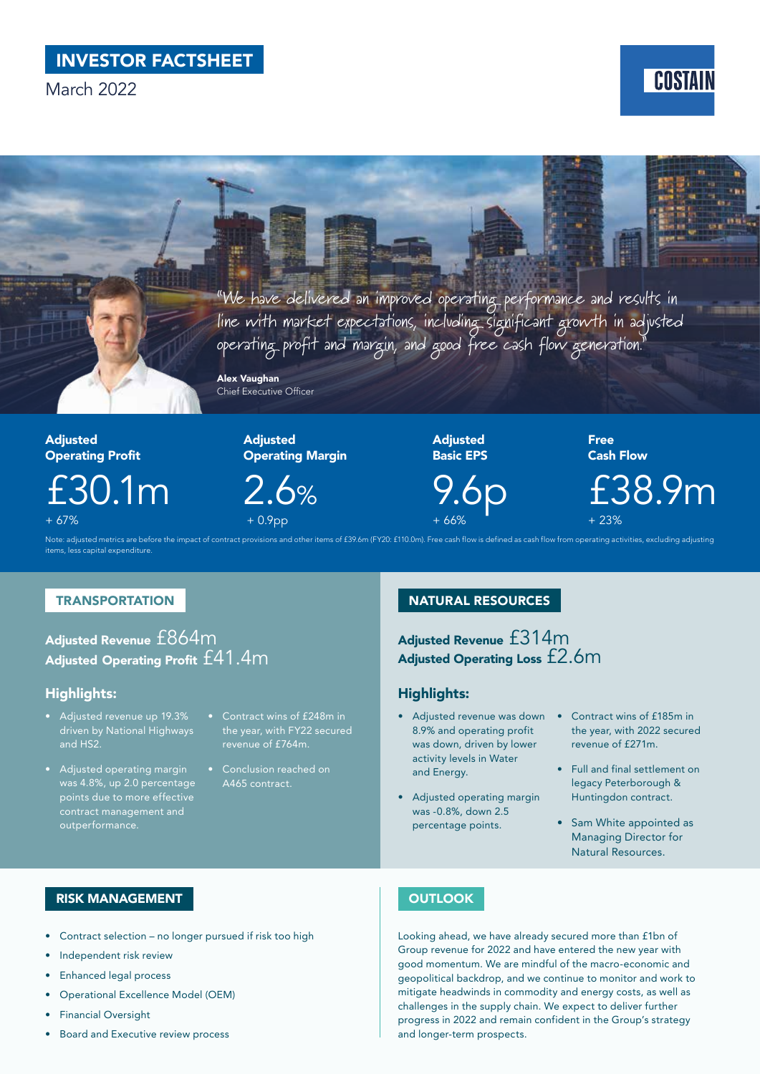# INVESTOR FACTSHEET

March 2022

# COSTAIN



"We have delivered an improved operating performance and results in line with market expectations, including significant growth in adjusted operating profit and margin, and good free cash flow generation."

Alex Vaughan Chief Executive Officer

Adjusted Operating Profit £30.1m + 67%

Adjusted Operating Margin

2.6%

+ 0.9pp

Adjusted Basic EPS

9.6p + 66%

Free Cash Flow

£38.9m + 23%

Note: adjusted metrics are before the impact of contract provisions and other items of £39.6m (FY20: £110.0m). Free cash flow is defined as cash flow from operating activities, excluding adjusting items, less capital expenditure.

# **TRANSPORTATION**

Adjusted Revenue £864m Adjusted Operating Profit £41.4m

## Highlights:

- Adjusted revenue up 19.3% driven by National Highways and HS2.
- Adjusted operating margin was 4.8%, up 2.0 percentage points due to more effective contract management and outperformance.
- Contract wins of £248m in the year, with FY22 secured revenue of £764m.
- Conclusion reached on A465 contract.

## NATURAL RESOURCES

Adjusted Revenue £314m Adjusted Operating Loss £2.6m

#### Highlights:

- Adjusted revenue was down 8.9% and operating profit was down, driven by lower activity levels in Water and Energy.
- Adjusted operating margin was -0.8%, down 2.5 percentage points.
- Contract wins of £185m in the year, with 2022 secured revenue of £271m.
- Full and final settlement on legacy Peterborough & Huntingdon contract.
- Sam White appointed as Managing Director for Natural Resources.

## RISK MANAGEMENT

- Contract selection no longer pursued if risk too high
- Independent risk review
- Enhanced legal process
- Operational Excellence Model (OEM)
- Financial Oversight
- Board and Executive review process

# **OUTLOOK**

Looking ahead, we have already secured more than £1bn of Group revenue for 2022 and have entered the new year with good momentum. We are mindful of the macro-economic and geopolitical backdrop, and we continue to monitor and work to mitigate headwinds in commodity and energy costs, as well as challenges in the supply chain. We expect to deliver further progress in 2022 and remain confident in the Group's strategy and longer-term prospects.